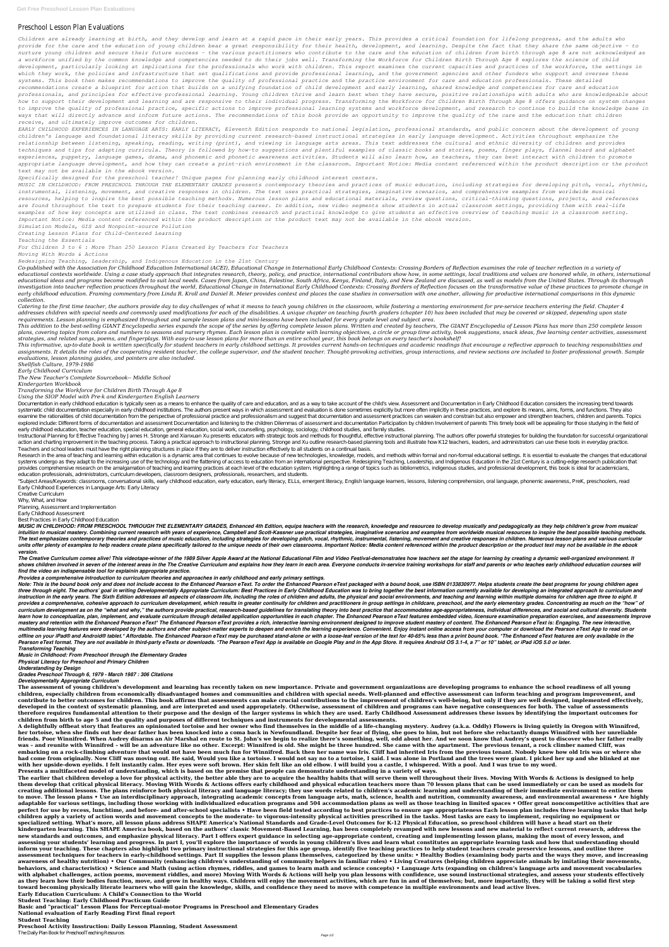## Preschool Lesson Plan Evaluations

*Children are already learning at birth, and they develop and learn at a rapid pace in their early years. This provides a critical foundation for lifelong progress, and the adults who provide for the care and the education of young children bear a great responsibility for their health, development, and learning. Despite the fact that they share the same objective - to nurture young children and secure their future success - the various practitioners who contribute to the care and the education of children from birth through age 8 are not acknowledged as a workforce unified by the common knowledge and competencies needed to do their jobs well. Transforming the Workforce for Children Birth Through Age 8 explores the science of child development, particularly looking at implications for the professionals who work with children. This report examines the current capacities and practices of the workforce, the settings in which they work, the policies and infrastructure that set qualifications and provide professional learning, and the government agencies and other funders who support and oversee these systems. This book then makes recommendations to improve the quality of professional practice and the practice environment for care and education professionals. These detailed recommendations create a blueprint for action that builds on a unifying foundation of child development and early learning, shared knowledge and competencies for care and education professionals, and principles for effective professional learning. Young children thrive and learn best when they have secure, positive relationships with adults who are knowledgeable about how to support their development and learning and are responsive to their individual progress. Transforming the Workforce for Children Birth Through Age 8 offers guidance on system changes to improve the quality of professional practice, specific actions to improve professional learning systems and workforce development, and research to continue to build the knowledge base in ways that will directly advance and inform future actions. The recommendations of this book provide an opportunity to improve the quality of the care and the education that children receive, and ultimately improve outcomes for children.*

*EARLY CHILDHOOD EXPERIENCES IN LANGUAGE ARTS: EARLY LITERACY, Eleventh Edition responds to national legislation, professional standards, and public concern about the development of young children's language and foundational literacy skills by providing current research-based instructional strategies in early language development. Activities throughout emphasize the relationship between listening, speaking, reading, writing (print), and viewing in language arts areas. This text addresses the cultural and ethnic diversity of children and provides techniques and tips for adapting curricula. Theory is followed by how-to suggestions and plentiful examples of classic books and stories, poems, finger plays, flannel board and alphabet experiences, puppetry, language games, drama, and phonemic and phonetic awareness activities. Students will also learn how, as teachers, they can best interact with children to promote appropriate language development, and how they can create a print-rich environment in the classroom. Important Notice: Media content referenced within the product description or the product text may not be available in the ebook version.*

Co-published with the Association for Childhood Education International (ACEI), Educational Change in International Early Childhood Contexts: Crossing Borders of Reflection examines the role of teacher reflection in a vari educational contexts worldwide. Using a case study approach that integrates research, theory, policy, and practice, international contributors show how, in some settings, local traditions and values are honored while, in o educational ideas and programs become modified to suit local needs. Cases from Japan, China, Palestine, South Africa, Kenya, Finland, Italy, and New Zealand are discussed, as well as models from the United States. Through investigation into teacher reflection practices throughout the world, Educational Change in International Early Childhood Contexts: Crossing Borders of Reflection focuses on the transformative value of these practices to p early childhood education. Framing commentary from Linda R. Kroll and Daniel R. Meier provides context and places the case studies in conversation with one another, allowing for productive international comparisons in this *collection.*

Catering to the first time teacher, the authors provide day to day challenges of what it means to teach young children in the classroom, while fostering a mentoring environment for pre-service teachers entering the field. addresses children with special needs and commonly used modifications for each of the disabilities. A unique chapter on teaching fourth graders (chapter 10) has been included that may be covered or skipped, depending upon *requirements. Lesson planning is emphasized throughout and sample lesson plans and mini-lessons have been included for every grade level and subject area.*

*Specifically designed for the preschool teacher! Unique pages for planning early childhood interest centers.*

This addition to the best-selling GIANT Encyclopedia series expands the scope of the series by offering complete lesson plans. Written and created by teachers, The GIANT Encyclopedia of Lesson Plans has more than 250 compl plans, covering topics from colors and numbers to seasons and nursery rhymes. Each lesson plan is complete with learning objectives, a circle or group time activity, book suggestions, snack ideas, five learning center acti *strategies, and related songs, poems, and fingerplays. With easy-to-use lesson plans for more than an entire school year, this book belongs on every teacher's bookshelf!*

This informative, up-to-date book is written specifically for student teachers in early childhood settings. It provides current hands-on techniques and academic readings that encourage a reflective approach to teaching res assignments. It details the roles of the cooperating resident teacher, the college supervisor, and the student teacher. Thought-provoking activities, group interactions, and review sections are included to foster professio

*MUSIC IN CHILDHOOD: FROM PRESCHOOL THROUGH THE ELEMENTARY GRADES presents contemporary theories and practices of music education, including strategies for developing pitch, vocal, rhythmic, instrumental, listening, movement, and creative responses in children. The text uses practical strategies, imaginative scenarios, and comprehensive examples from worldwide musical resources, helping to inspire the best possible teaching methods. Numerous lesson plans and educational materials, review questions, critical-thinking questions, projects, and references* are found throughout the text to prepare students for their teaching career. In addition, new video segments show students in actual classroom settings, providing them with real-life *examples of how key concepts are utilized in class. The text combines research and practical knowledge to give students an effective overview of teaching music in a classroom setting. Important Notice: Media content referenced within the product description or the product text may not be available in the ebook version.*

*Simulation Models, GIS and Nonpoint-source Pollution*

*Creating Lesson Plans for Child-Centered Learning*

*Teaching the Essentials*

*For Children 3 to 6 : More Than 250 Lesson Plans Created by Teachers for Teachers*

*Moving With Words & Actions*

*Redesigning Teaching, Leadership, and Indigenous Education in the 21st Century*

Instructional Planning for Effective Teaching by James H. Stronge and Xianxuan Xu presents educators with strategic tools and methods for thoughtful, effective instructional planning. The authors offer powerful strategies action and charting improvement in the teaching process. Taking a practical approach to instructional planning, Stronge and Xu outline research-based planning tools and illustrate how K12 teachers, leaders, and administrat Teachers and school leaders must have the right planning structures in place if they are to deliver instruction effectively to all students on a continual basis.

Research in the area of teaching and learning within education is a dynamic area that continues to evolve because of new technologies, knowledge, models, and methods within formal and non-formal educational settings. It is systems undergo as they adapt to the increasing use of the technology and the flattening of access to education from an international perspective. Redesigning Teaching, Leadership, and Indigenous Education in the 21st Cent provides comprehensive research on the amalgamation of teaching and learning practices at each level of the education system. Highlighting a range of topics such as bibliometrics, indigenous studies, and professional devel education professionals, administrators, curriculum developers, classroom designers, professionals, researchers, and students.

"Subject Areas Keywords: classrooms, conversational skills, early childhood education, early education, early literacy, ELLs, emergent literacy, English language learners, lessons, listening comprehension, oral language, p Early Childhood Experiences in Language Arts: Early Literacy

MUSIC IN CHILDHOOD: FROM PRESCHOOL THROUGH THE ELEMENTARY GRADES, Enhanced 4th Edition, equips teachers with the research, knowledge and resources to develop musically and pedagogically as they help children's grow from mu intuition to musical mastery. Combining current research with years of experience, Campbell and Scott-Kassner use practical strategies, imaginative scenarios and examples from worldwide musical resources to inspire the bes The text emphasizes contemporary theories and practices of music education, including strategies for developing pitch, vocal, rhythmic, instrumental, listening, movement and creative responses in children. Numerous lesson units offer plenty of examples to help readers create plans specifically tailored to the unique needs of their own classrooms. Important Notice: Media content referenced within the product description or the product text m *version.*

The Creative Curriculum comes alive! This videotape-winner of the 1989 Silver Apple Award at the National Educational Film and Video Festival-demonstrates how teachers set the stage for learning by creating a dynamic wellshows children involved in seven of the interest areas in the The Creative Curriculum and explains how they learn in each area. Everyone conducts in-service training workshops for staff and parents or who teaches early chi *find the video an indispensable tool for explainin appropriate practice.*

## *evaluations, lesson planning guides, and pointers are also included. Shellfish Culture, 1979-1986 Early Childhood Curriculum The New Teacher's Complete Sourcebook-- Middle School*

*Kindergarten Workbook*

## *Transforming the Workforce for Children Birth Through Age 8*

## *Using the SIOP Model with Pre-k and Kindergarten English Learners*

Documentation in early childhood education is typically seen as a means to enhance the quality of care and education, and as a way to take account of the child's view. Assessment and Documentation in Early Childhood Educat systematic child documentation especially in early childhood institutions. The authors present ways in which assessment and evaluation is done sometimes explicitly but more often implicitly in these practices, and explore examine the rationalities of child documentation from the perspective of professional practice and professionalism and suggest that documentation and assessment practices can weaken and constrain but also empower and stren explored include: Different forms of documentation and assessment Documentation and listening to the children Dilemmas of assessment and documentation Participation by children Involvement of parents This timely book will early childhood education, teacher education, special education, general education, social work, counselling, psychology, sociology, childhood studies, and family studies.

Creative Curriculum Why, What, and How

Planning, Assessment and Implementation

Early Childhood Assessment

Best Practices in Early Childhood Education

*Provides a comprehensive introduction to curriculum theories and approaches in early childhood and early primary settings.*

Note: This is the bound book only and does not include access to the Enhanced Pearson eText. To order the Enhanced Pearson eText packaged with a bound book, use ISBN 0133830977. Helps students create the best programs for three through eight. The authors' goal in writing Developmentally Appropriate Curriculum: Best Practices in Early Childhood Education was to bring together the best information currently available for developing an integra instruction in the early years. The Sixth Edition addresses all aspects of classroom life, including the roles of children and adults, the physical and social environments, and teaching and learning within multiple domains provides a comprehensive, cohesive approach to curriculum development, which results in greater continuity for children and practitioners in group settings in childcare, preschool, and the early elementary grades. Concentr curriculum development as on the "what and why," the authors provide practical, research-based guidelines for translating theory into best practice that accommodates age-appropriateness, individual differences, and social learn how to conceptualize, plan, implement, and evaluate curriculum through detailed application opportunities in each chapter. The Enhanced Pearson eText features embedded video, licensure examination preparation exercis mastery and retention with the Enhanced Pearson eText\* The Enhanced Pearson eText provides a rich, interactive learning environment designed to improve student mastery of content. The Enhanced Pearson eText is: Engaging. T multimedia learning features were developed by the authors and other subject-matter experts to deepen and enrich the learning experience. Convenient. Enjoy instant online access from your computer or download the Pearson e offline on your iPad® and Android® tablet.\* Affordable. The Enhanced Pearson eText may be purchased stand-alone or with a loose-leaf version of the text for 40-65% less than a print bound book. \*The Enhanced eText features Pearson eText format. They are not available in third-party eTexts or downloads. \*The Pearson eText App is available on Google Play and in the App Store. It requires Android OS 3.1-4, a 7" or 10" tablet, or iPad iOS 5.0 or

*Transforming Teaching*

*Music in Childhood: From Preschool through the Elementary Grades*

*Physical Literacy for Preschool and Primary Children*

*Understanding by Design*

*Grades Preschool Through 6, 1979 - March 1987 : 306 Citations*

*Developmentally Appropriate Curriculum*

**The assessment of young children's development and learning has recently taken on new importance. Private and government organizations are developing programs to enhance the school readiness of all young children, especially children from economically disadvantaged homes and communities and children with special needs. Well-planned and effective assessment can inform teaching and program improvement, and contribute to better outcomes for children. This book affirms that assessments can make crucial contributions to the improvement of children's well-being, but only if they are well designed, implemented effectively, developed in the context of systematic planning, and are interpreted and used appropriately. Otherwise, assessment of children and programs can have negative consequences for both. The value of assessments therefore requires fundamental attention to their purpose and the design of the larger systems in which they are used. Early Childhood Assessment addresses these issues by identifying the important outcomes for children from birth to age 5 and the quality and purposes of different techniques and instruments for developmental assessments. A delightfully offbeat story that features an opinionated tortoise and her owner who find themselves in the middle of a life-changing mystery. Audrey (a.k.a. Oddly) Flowers is living quietly in Oregon with Winnifred, her tortoise, when she finds out her dear father has been knocked into a coma back in Newfoundland. Despite her fear of flying, she goes to him, but not before she reluctantly dumps Winnifred with her unreliable friends. Poor Winnifred. When Audrey disarms an Air Marshal en route to St. John's we begin to realize there's something, well, odd about her. And we soon know that Audrey's quest to discover who her father really was – and reunite with Winnifred – will be an adventure like no other. Excerpt: Winnifred is old. She might be three hundred. She came with the apartment. The previous tenant, a rock climber named Cliff, was embarking on a rock-climbing adventure that would not have been much fun for Winnifred. Back then her name was Iris. Cliff had inherited Iris from the previous tenant. Nobody knew how old Iris was or where she had come from originally. Now Cliff was moving out. He said, Would you like a tortoise. I would not say no to a tortoise, I said. I was alone in Portland and the trees were giant. I picked her up and she blinked at me with her upside-down eyelids. I felt instantly calm. Her eyes were soft brown. Her skin felt like an old elbow. I will build you a castle, I whispered. With a pool. And I was true to my word. Presents a multifaceted model of understanding, which is based on the premise that people can demonstrate understanding in a variety of ways. The earlier that children develop a love for physical activity, the better able they are to acquire the healthy habits that will serve them well throughout their lives. Moving With Words & Actions is designed to help them develop that critical physical literacy. Moving With Words & Actions offers early childhood and physical education teachers more than 70 lesson plans that can be used immediately or can be used as models for creating additional lessons. The plans reinforce both physical literacy and language literacy; they use words related to children's academic learning and understanding of their immediate environment to entice them to move. The lesson plans • Use an interdisciplinary approach, integrating academic concepts from language arts, math, science, health and nutrition, community awareness, and environmental awareness • Are highly adaptable for various settings, including those working with individualized education programs and 504 accommodation plans as well as those teaching in limited spaces • Offer great noncompetitive activities that are** perfect for use by recess, lunchtime, and before- and after-school specialists • Have been field tested according to best practices to ensure age appropriateness Each lesson plan includes three learning tasks that help **children apply a variety of action words and movement concepts to the moderate- to vigorous-intensity physical activities prescribed in the tasks. Most tasks are easy to implement, requiring no equipment or specialized setting. What's more, all lesson plans address SHAPE America's National Standards and Grade-Level Outcomes for K-12 Physical Education, so preschool children will have a head start on their kindergarten learning. This SHAPE America book, based on the authors' classic Movement-Based Learning, has been completely revamped with new lessons and new material to reflect current research, address the new standards and outcomes, and emphasize physical literacy. Part I offers expert guidance in selecting age-appropriate content, creating and implementing lesson plans, making the most of every lesson, and assessing your students' learning and progress. In part I, you'll explore the importance of words in young children's lives and learn what constitutes an appropriate learning task and how that understanding should inform your teaching. These chapters also highlight two primary instructional strategies for this age group, identify five teaching practices to help student teachers create preservice lessons, and outline three assessment techniques for teachers in early-childhood settings. Part II supplies the lesson plans themselves, categorized by these units: • Healthy Bodies (examining body parts and the ways they move, and increasing awareness of healthy nutrition) • Our Community (enhancing children's understanding of community helpers in familiar roles) • Living Creatures (helping children appreciate animals by imitating their movements, behaviors, and characteristics) • Science and Math (using action rhymes, riddles, and games to learn math and science concepts) • Language Arts (expanding on children's language arts and movement vocabularies with alphabet challenges, action poems, movement riddles, and more) Moving With Words & Actions will help you plan lessons with confidence, use sound instructional strategies, and assess your students effectively as they learn how their bodies function, move, and grow in healthy ways. Children will enjoy the movement activities, which are fun in and of themselves; but, more importantly, they will be taking a solid first step toward becoming physically literate learners who will gain the knowledge, skills, and confidence they need to move with competence in multiple environments and lead active lives. Early Education Curriculum: A Child's Connection to the World**

**Student Teaching: Early Childhood Practicum Guide**

**Basic and "practical" Lesson Plans for Perceptual-motor Programs in Preschool and Elementary Grades**

**National evaluation of Early Reading First final report**

**Student Teaching**

**Preschool Activity Insstruction: Daily Lesson Planning, Student Assessment** The Daily Plan Book for PreschoolTeaching Resources